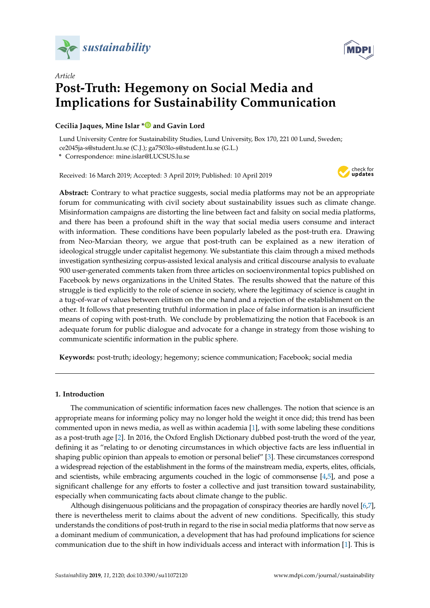



# *Article* **Post-Truth: Hegemony on Social Media and Implications for Sustainability Communication**

## **Cecilia Jaques, Mine Islar [\\*](https://orcid.org/0000-0001-9479-4734) and Gavin Lord**

Lund University Centre for Sustainability Studies, Lund University, Box 170, 221 00 Lund, Sweden; ce2045ja-s@student.lu.se (C.J.); ga7503lo-s@student.lu.se (G.L.)

**\*** Correspondence: mine.islar@LUCSUS.lu.se

Received: 16 March 2019; Accepted: 3 April 2019; Published: 10 April 2019



**Abstract:** Contrary to what practice suggests, social media platforms may not be an appropriate forum for communicating with civil society about sustainability issues such as climate change. Misinformation campaigns are distorting the line between fact and falsity on social media platforms, and there has been a profound shift in the way that social media users consume and interact with information. These conditions have been popularly labeled as the post-truth era. Drawing from Neo-Marxian theory, we argue that post-truth can be explained as a new iteration of ideological struggle under capitalist hegemony. We substantiate this claim through a mixed methods investigation synthesizing corpus-assisted lexical analysis and critical discourse analysis to evaluate 900 user-generated comments taken from three articles on socioenvironmental topics published on Facebook by news organizations in the United States. The results showed that the nature of this struggle is tied explicitly to the role of science in society, where the legitimacy of science is caught in a tug-of-war of values between elitism on the one hand and a rejection of the establishment on the other. It follows that presenting truthful information in place of false information is an insufficient means of coping with post-truth. We conclude by problematizing the notion that Facebook is an adequate forum for public dialogue and advocate for a change in strategy from those wishing to communicate scientific information in the public sphere.

**Keywords:** post-truth; ideology; hegemony; science communication; Facebook; social media

## **1. Introduction**

The communication of scientific information faces new challenges. The notion that science is an appropriate means for informing policy may no longer hold the weight it once did; this trend has been commented upon in news media, as well as within academia [\[1\]](#page-13-0), with some labeling these conditions as a post-truth age [\[2\]](#page-13-1). In 2016, the Oxford English Dictionary dubbed post-truth the word of the year, defining it as "relating to or denoting circumstances in which objective facts are less influential in shaping public opinion than appeals to emotion or personal belief" [\[3\]](#page-13-2). These circumstances correspond a widespread rejection of the establishment in the forms of the mainstream media, experts, elites, officials, and scientists, while embracing arguments couched in the logic of commonsense [\[4,](#page-13-3)[5\]](#page-13-4), and pose a significant challenge for any efforts to foster a collective and just transition toward sustainability, especially when communicating facts about climate change to the public.

Although disingenuous politicians and the propagation of conspiracy theories are hardly novel [\[6,](#page-13-5)[7\]](#page-13-6), there is nevertheless merit to claims about the advent of new conditions. Specifically, this study understands the conditions of post-truth in regard to the rise in social media platforms that now serve as a dominant medium of communication, a development that has had profound implications for science communication due to the shift in how individuals access and interact with information [\[1\]](#page-13-0). This is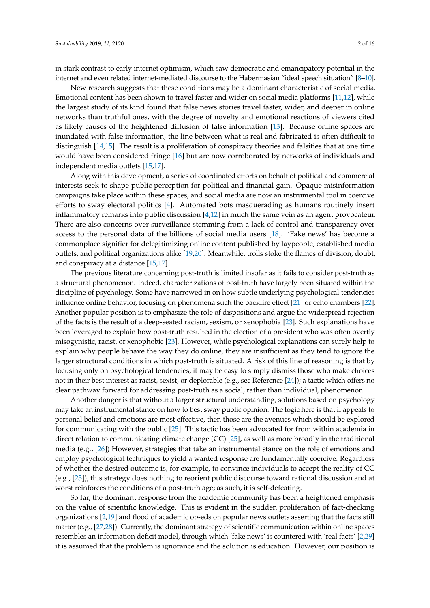in stark contrast to early internet optimism, which saw democratic and emancipatory potential in the internet and even related internet-mediated discourse to the Habermasian "ideal speech situation" [\[8](#page-13-7)[–10\]](#page-13-8).

New research suggests that these conditions may be a dominant characteristic of social media. Emotional content has been shown to travel faster and wider on social media platforms [\[11,](#page-13-9)[12\]](#page-13-10), while the largest study of its kind found that false news stories travel faster, wider, and deeper in online networks than truthful ones, with the degree of novelty and emotional reactions of viewers cited as likely causes of the heightened diffusion of false information [\[13\]](#page-13-11). Because online spaces are inundated with false information, the line between what is real and fabricated is often difficult to distinguish [\[14,](#page-13-12)[15\]](#page-13-13). The result is a proliferation of conspiracy theories and falsities that at one time would have been considered fringe [\[16\]](#page-13-14) but are now corroborated by networks of individuals and independent media outlets [\[15,](#page-13-13)[17\]](#page-13-15).

Along with this development, a series of coordinated efforts on behalf of political and commercial interests seek to shape public perception for political and financial gain. Opaque misinformation campaigns take place within these spaces, and social media are now an instrumental tool in coercive efforts to sway electoral politics [\[4\]](#page-13-3). Automated bots masquerading as humans routinely insert inflammatory remarks into public discussion [\[4,](#page-13-3)[12\]](#page-13-10) in much the same vein as an agent provocateur. There are also concerns over surveillance stemming from a lack of control and transparency over access to the personal data of the billions of social media users [\[18\]](#page-13-16). 'Fake news' has become a commonplace signifier for delegitimizing online content published by laypeople, established media outlets, and political organizations alike [\[19,](#page-13-17)[20\]](#page-13-18). Meanwhile, trolls stoke the flames of division, doubt, and conspiracy at a distance [\[15](#page-13-13)[,17\]](#page-13-15).

The previous literature concerning post-truth is limited insofar as it fails to consider post-truth as a structural phenomenon. Indeed, characterizations of post-truth have largely been situated within the discipline of psychology. Some have narrowed in on how subtle underlying psychological tendencies influence online behavior, focusing on phenomena such the backfire effect [\[21\]](#page-13-19) or echo chambers [\[22\]](#page-14-0). Another popular position is to emphasize the role of dispositions and argue the widespread rejection of the facts is the result of a deep-seated racism, sexism, or xenophobia [\[23\]](#page-14-1). Such explanations have been leveraged to explain how post-truth resulted in the election of a president who was often overtly misogynistic, racist, or xenophobic [\[23\]](#page-14-1). However, while psychological explanations can surely help to explain why people behave the way they do online, they are insufficient as they tend to ignore the larger structural conditions in which post-truth is situated. A risk of this line of reasoning is that by focusing only on psychological tendencies, it may be easy to simply dismiss those who make choices not in their best interest as racist, sexist, or deplorable (e.g., see Reference [\[24\]](#page-14-2)); a tactic which offers no clear pathway forward for addressing post-truth as a social, rather than individual, phenomenon.

Another danger is that without a larger structural understanding, solutions based on psychology may take an instrumental stance on how to best sway public opinion. The logic here is that if appeals to personal belief and emotions are most effective, then those are the avenues which should be explored for communicating with the public [\[25\]](#page-14-3). This tactic has been advocated for from within academia in direct relation to communicating climate change (CC) [\[25\]](#page-14-3), as well as more broadly in the traditional media (e.g., [\[26\]](#page-14-4)) However, strategies that take an instrumental stance on the role of emotions and employ psychological techniques to yield a wanted response are fundamentally coercive. Regardless of whether the desired outcome is, for example, to convince individuals to accept the reality of CC (e.g., [\[25\]](#page-14-3)), this strategy does nothing to reorient public discourse toward rational discussion and at worst reinforces the conditions of a post-truth age; as such, it is self-defeating.

So far, the dominant response from the academic community has been a heightened emphasis on the value of scientific knowledge. This is evident in the sudden proliferation of fact-checking organizations [\[2](#page-13-1)[,19\]](#page-13-17) and flood of academic op-eds on popular news outlets asserting that the facts still matter (e.g., [\[27,](#page-14-5)[28\]](#page-14-6)). Currently, the dominant strategy of scientific communication within online spaces resembles an information deficit model, through which 'fake news' is countered with 'real facts' [\[2,](#page-13-1)[29\]](#page-14-7) it is assumed that the problem is ignorance and the solution is education. However, our position is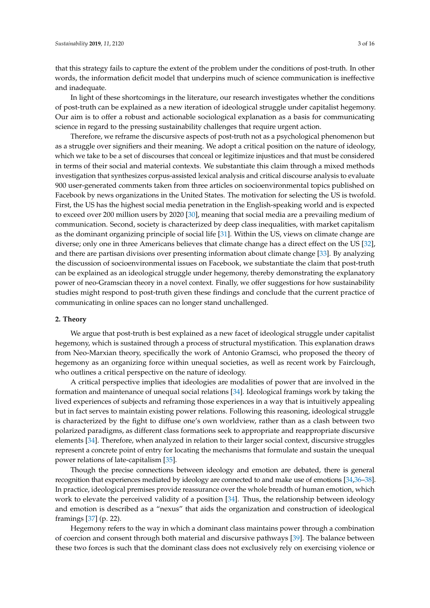that this strategy fails to capture the extent of the problem under the conditions of post-truth. In other words, the information deficit model that underpins much of science communication is ineffective and inadequate.

In light of these shortcomings in the literature, our research investigates whether the conditions of post-truth can be explained as a new iteration of ideological struggle under capitalist hegemony. Our aim is to offer a robust and actionable sociological explanation as a basis for communicating science in regard to the pressing sustainability challenges that require urgent action.

Therefore, we reframe the discursive aspects of post-truth not as a psychological phenomenon but as a struggle over signifiers and their meaning. We adopt a critical position on the nature of ideology, which we take to be a set of discourses that conceal or legitimize injustices and that must be considered in terms of their social and material contexts. We substantiate this claim through a mixed methods investigation that synthesizes corpus-assisted lexical analysis and critical discourse analysis to evaluate 900 user-generated comments taken from three articles on socioenvironmental topics published on Facebook by news organizations in the United States. The motivation for selecting the US is twofold. First, the US has the highest social media penetration in the English-speaking world and is expected to exceed over 200 million users by 2020 [\[30\]](#page-14-8), meaning that social media are a prevailing medium of communication. Second, society is characterized by deep class inequalities, with market capitalism as the dominant organizing principle of social life [\[31\]](#page-14-9). Within the US, views on climate change are diverse; only one in three Americans believes that climate change has a direct effect on the US [\[32\]](#page-14-10), and there are partisan divisions over presenting information about climate change [\[33\]](#page-14-11). By analyzing the discussion of socioenvironmental issues on Facebook, we substantiate the claim that post-truth can be explained as an ideological struggle under hegemony, thereby demonstrating the explanatory power of neo-Gramscian theory in a novel context. Finally, we offer suggestions for how sustainability studies might respond to post-truth given these findings and conclude that the current practice of communicating in online spaces can no longer stand unchallenged.

#### **2. Theory**

We argue that post-truth is best explained as a new facet of ideological struggle under capitalist hegemony, which is sustained through a process of structural mystification. This explanation draws from Neo-Marxian theory, specifically the work of Antonio Gramsci, who proposed the theory of hegemony as an organizing force within unequal societies, as well as recent work by Fairclough, who outlines a critical perspective on the nature of ideology.

A critical perspective implies that ideologies are modalities of power that are involved in the formation and maintenance of unequal social relations [\[34\]](#page-14-12). Ideological framings work by taking the lived experiences of subjects and reframing those experiences in a way that is intuitively appealing but in fact serves to maintain existing power relations. Following this reasoning, ideological struggle is characterized by the fight to diffuse one's own worldview, rather than as a clash between two polarized paradigms, as different class formations seek to appropriate and reappropriate discursive elements [\[34\]](#page-14-12). Therefore, when analyzed in relation to their larger social context, discursive struggles represent a concrete point of entry for locating the mechanisms that formulate and sustain the unequal power relations of late-capitalism [\[35\]](#page-14-13).

Though the precise connections between ideology and emotion are debated, there is general recognition that experiences mediated by ideology are connected to and make use of emotions [\[34,](#page-14-12)[36](#page-14-14)[–38\]](#page-14-15). In practice, ideological premises provide reassurance over the whole breadth of human emotion, which work to elevate the perceived validity of a position [\[34\]](#page-14-12). Thus, the relationship between ideology and emotion is described as a "nexus" that aids the organization and construction of ideological framings [\[37\]](#page-14-16) (p. 22).

Hegemony refers to the way in which a dominant class maintains power through a combination of coercion and consent through both material and discursive pathways [\[39\]](#page-14-17). The balance between these two forces is such that the dominant class does not exclusively rely on exercising violence or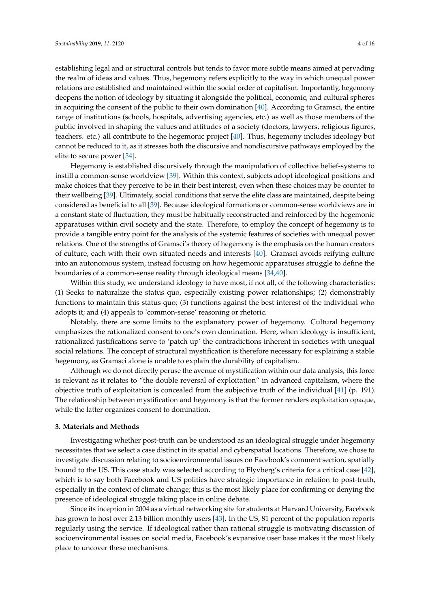establishing legal and or structural controls but tends to favor more subtle means aimed at pervading the realm of ideas and values. Thus, hegemony refers explicitly to the way in which unequal power relations are established and maintained within the social order of capitalism. Importantly, hegemony deepens the notion of ideology by situating it alongside the political, economic, and cultural spheres in acquiring the consent of the public to their own domination [\[40\]](#page-14-18). According to Gramsci, the entire range of institutions (schools, hospitals, advertising agencies, etc.) as well as those members of the public involved in shaping the values and attitudes of a society (doctors, lawyers, religious figures, teachers. etc.) all contribute to the hegemonic project [\[40\]](#page-14-18). Thus, hegemony includes ideology but cannot be reduced to it, as it stresses both the discursive and nondiscursive pathways employed by the elite to secure power [\[34\]](#page-14-12).

Hegemony is established discursively through the manipulation of collective belief-systems to instill a common-sense worldview [\[39\]](#page-14-17). Within this context, subjects adopt ideological positions and make choices that they perceive to be in their best interest, even when these choices may be counter to their wellbeing [\[39\]](#page-14-17). Ultimately, social conditions that serve the elite class are maintained, despite being considered as beneficial to all [\[39\]](#page-14-17). Because ideological formations or common-sense worldviews are in a constant state of fluctuation, they must be habitually reconstructed and reinforced by the hegemonic apparatuses within civil society and the state. Therefore, to employ the concept of hegemony is to provide a tangible entry point for the analysis of the systemic features of societies with unequal power relations. One of the strengths of Gramsci's theory of hegemony is the emphasis on the human creators of culture, each with their own situated needs and interests [\[40\]](#page-14-18). Gramsci avoids reifying culture into an autonomous system, instead focusing on how hegemonic apparatuses struggle to define the boundaries of a common-sense reality through ideological means [\[34](#page-14-12)[,40\]](#page-14-18).

Within this study, we understand ideology to have most, if not all, of the following characteristics: (1) Seeks to naturalize the status quo, especially existing power relationships; (2) demonstrably functions to maintain this status quo; (3) functions against the best interest of the individual who adopts it; and (4) appeals to 'common-sense' reasoning or rhetoric.

Notably, there are some limits to the explanatory power of hegemony. Cultural hegemony emphasizes the rationalized consent to one's own domination. Here, when ideology is insufficient, rationalized justifications serve to 'patch up' the contradictions inherent in societies with unequal social relations. The concept of structural mystification is therefore necessary for explaining a stable hegemony, as Gramsci alone is unable to explain the durability of capitalism.

Although we do not directly peruse the avenue of mystification within our data analysis, this force is relevant as it relates to "the double reversal of exploitation" in advanced capitalism, where the objective truth of exploitation is concealed from the subjective truth of the individual [\[41\]](#page-14-19) (p. 191). The relationship between mystification and hegemony is that the former renders exploitation opaque, while the latter organizes consent to domination.

#### **3. Materials and Methods**

Investigating whether post-truth can be understood as an ideological struggle under hegemony necessitates that we select a case distinct in its spatial and cyberspatial locations. Therefore, we chose to investigate discussion relating to socioenvironmental issues on Facebook's comment section, spatially bound to the US. This case study was selected according to Flyvberg's criteria for a critical case [\[42\]](#page-14-20), which is to say both Facebook and US politics have strategic importance in relation to post-truth, especially in the context of climate change; this is the most likely place for confirming or denying the presence of ideological struggle taking place in online debate.

Since its inception in 2004 as a virtual networking site for students at Harvard University, Facebook has grown to host over 2.13 billion monthly users [\[43\]](#page-14-21). In the US, 81 percent of the population reports regularly using the service. If ideological rather than rational struggle is motivating discussion of socioenvironmental issues on social media, Facebook's expansive user base makes it the most likely place to uncover these mechanisms.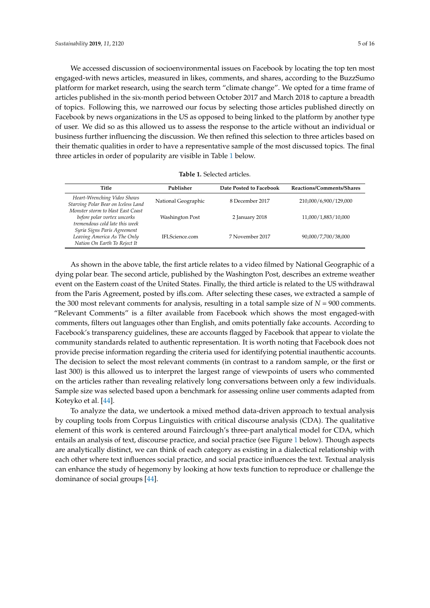We accessed discussion of socioenvironmental issues on Facebook by locating the top ten most engaged-with news articles, measured in likes, comments, and shares, according to the BuzzSumo platform for market research, using the search term "climate change". We opted for a time frame of articles published in the six-month period between October 2017 and March 2018 to capture a breadth of topics. Following this, we narrowed our focus by selecting those articles published directly on Facebook by news organizations in the US as opposed to being linked to the platform by another type of user. We did so as this allowed us to assess the response to the article without an individual or business further influencing the discussion. We then refined this selection to three articles based on their thematic qualities in order to have a representative sample of the most discussed topics. The final three articles in order of popularity are visible in Table [1](#page-4-0) below.

<span id="page-4-0"></span>

| Title                                                                                              | Publisher              | Date Posted to Facebook | <b>Reactions/Comments/Shares</b> |
|----------------------------------------------------------------------------------------------------|------------------------|-------------------------|----------------------------------|
| Heart-Wrenching Video Shows<br>Starving Polar Bear on Iceless Land                                 | National Geographic    | 8 December 2017         | 210,000/6,900/129,000            |
| Monster storm to blast East Coast<br>before polar vortex uncorks<br>tremendous cold late this week | Washington Post        | 2 January 2018          | 11,000/1,883/10,000              |
| Syria Signs Paris Agreement<br>Leaving America As The Only<br>Nation On Earth To Reject It         | <b>IFL</b> Science.com | 7 November 2017         | 90,000/7,700/38,000              |
|                                                                                                    |                        |                         |                                  |

As shown in the above table, the first article relates to a video filmed by National Geographic of a dying polar bear. The second article, published by the Washington Post, describes an extreme weather event on the Eastern coast of the United States. Finally, the third article is related to the US withdrawal from the Paris Agreement, posted by ifls.com. After selecting these cases, we extracted a sample of the 300 most relevant comments for analysis, resulting in a total sample size of  $N = 900$  comments. "Relevant Comments" is a filter available from Facebook which shows the most engaged-with comments, filters out languages other than English, and omits potentially fake accounts. According to Facebook's transparency guidelines, these are accounts flagged by Facebook that appear to violate the community standards related to authentic representation. It is worth noting that Facebook does not provide precise information regarding the criteria used for identifying potential inauthentic accounts. The decision to select the most relevant comments (in contrast to a random sample, or the first or last 300) is this allowed us to interpret the largest range of viewpoints of users who commented on the articles rather than revealing relatively long conversations between only a few individuals. Sample size was selected based upon a benchmark for assessing online user comments adapted from Koteyko et al. [\[44\]](#page-14-22).

To analyze the data, we undertook a mixed method data-driven approach to textual analysis by coupling tools from Corpus Linguistics with critical discourse analysis (CDA). The qualitative element of this work is centered around Fairclough's three-part analytical model for CDA, which entails an analysis of text, discourse practice, and social practice (see Figure [1](#page-5-0) below). Though aspects are analytically distinct, we can think of each category as existing in a dialectical relationship with each other where text influences social practice, and social practice influences the text. Textual analysis can enhance the study of hegemony by looking at how texts function to reproduce or challenge the dominance of social groups [\[44\]](#page-14-22).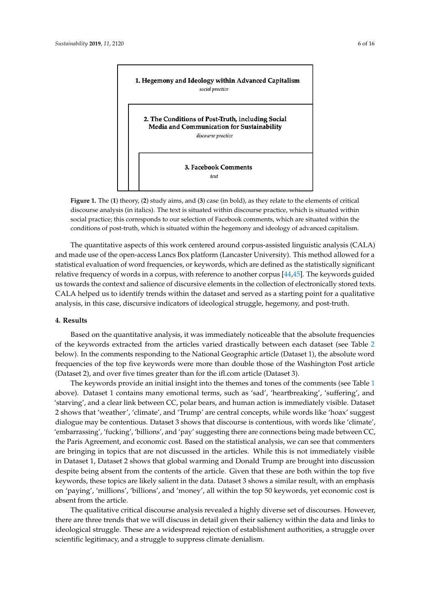<span id="page-5-0"></span>

**Figure 1.** The (1) theory, (2) study aims, and (3) case (in bold), as they relate to the elements of critical discourse analysis (in italics). The text is situated within discourse practice, which is situated within discourse analysis (in italics). The text is situated within discourse practice, which is situated within social practice; this corresponds to our selection of Facebook comments, which are situated within the social practice; this corresponds to our selection of Facebook comments, which are situated within the conditions of post‐truth, which is situated within the hegemony and ideology of advanced capitalism. conditions of post-truth, which is situated within the hegemony and ideology of advanced capitalism.

The quantitative aspects of this work centered around corpus‐assisted linguistic analysis The quantitative aspects of this work centered around corpus-assisted linguistic analysis (CALA) and made use of the open-access Lancs Box platform (Lancaster University). This method allowed for a statistical evaluation of word frequencies, or keywords, which are defined as the statistically significant relative frequency of words in a corpus, with reference to another corpus [\[44](#page-14-22)[,45\]](#page-15-0). The keywords guided us towards the context and salience of discursive elements in the collection of electronically stored texts.  $\mathsf{CALA}$  helped us to identify trends within the dataset and served as a starting point for a qualitative analysis, in this case, discursive indicators of ideological struggle, hegemony, and post-truth.

## struggle, hegemony, and post‐truth. **4. Results**

Based on the quantitative analysis, it was immediately noticeable that the absolute frequencies  $\epsilon$  regions can actually noticeable that the absolute  $\epsilon$  absolute frequencies  $\epsilon$ below). In the comments responding to the National Geographic article (Dataset 1), the absolute word frequencies of the top five keywords were more than double those of the Washington Post article  $\sigma$ (Dataset 2), and over five times greater than for the ifl.com article (Dataset 3). of the keywords extracted from the articles varied drastically between each dataset (see Table [2](#page-6-0)

The keywords provide an initial insight into the themes and tones of the comments (see Table [1](#page-4-0) above). Dataset 1 contains many emotional terms, such as 'sad', 'heartbreaking', 'suffering', and 'starving', and a clear link between CC, polar bears, and human action is immediately visible. Dataset  $\mathcal{L}$  shows that weather , chinate, and trump are central concepts, while words like floax suggest dialogue may be contentious. Dataset 3 shows that discourse is contentious, with words like 'climate', 'embarrassing', 'fucking', 'billions', and 'pay' suggesting there are connections being made between CC, the Paris Agreement, and economic cost. Based on the statistical analysis, we can see that commenters being made between the statistical analysis, we can see that commenters are bringing in topics that are not discussed in the articles. While this is not immediately visible in Dataset 1, Dataset 2 shows that global warming and Donald Trump are brought into discussion despite being absent from the contents of the article. Given that these are both within the top five keywords, these topics are likely salient in the data. Dataset 3 shows a similar result, with an emphasis  $\frac{1}{2}$ on 'paying', 'millions', 'billions', and 'money', all within the top 50 keywords, yet economic cost is emphasis on 'paying', 'millions', 'millions', and 'money', and 'money', all with 50 keywords, yet economic sta 2 shows that 'weather', 'climate', and 'Trump' are central concepts, while words like 'hoax' suggest absent from the article.

The qualitative critical discourse analysis revealed a highly diverse set of discourses. However, there are three trends that we will discuss in detail given their saliency within the data and links to there are three trends that we will discuss in detail given their saliency within the data and links to ideological struggle. These are a widespread rejection of establishment authorities, a struggle over scientific legitimacy, and a struggle to suppress climate denialism.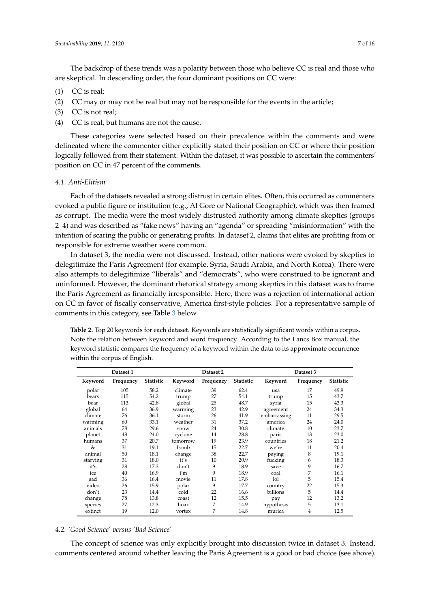The backdrop of these trends was a polarity between those who believe CC is real and those who are skeptical. In descending order, the four dominant positions on CC were:

- (1) CC is real;
- (2) CC may or may not be real but may not be responsible for the events in the article;
- (3) CC is not real;
- (4) CC is real, but humans are not the cause.

These categories were selected based on their prevalence within the comments and were delineated where the commenter either explicitly stated their position on CC or where their position logically followed from their statement. Within the dataset, it was possible to ascertain the commenters' position on CC in 47 percent of the comments.

#### *4.1. Anti-Elitism*

Each of the datasets revealed a strong distrust in certain elites. Often, this occurred as commenters evoked a public figure or institution (e.g., Al Gore or National Geographic), which was then framed as corrupt. The media were the most widely distrusted authority among climate skeptics (groups 2–4) and was described as "fake news" having an "agenda" or spreading "misinformation" with the intention of scaring the public or generating profits. In dataset 2, claims that elites are profiting from or responsible for extreme weather were common.

In dataset 3, the media were not discussed. Instead, other nations were evoked by skeptics to delegitimize the Paris Agreement (for example, Syria, Saudi Arabia, and North Korea). There were also attempts to delegitimize "liberals" and "democrats", who were construed to be ignorant and uninformed. However, the dominant rhetorical strategy among skeptics in this dataset was to frame the Paris Agreement as financially irresponsible. Here, there was a rejection of international action on CC in favor of fiscally conservative, America first-style policies. For a representative sample of comments in this category, see Table [3](#page-8-0) below.

<span id="page-6-0"></span>**Table 2.** Top 20 keywords for each dataset. Keywords are statistically significant words within a corpus. Note the relation between keyword and word frequency. According to the Lancs Box manual, the keyword statistic compares the frequency of a keyword within the data to its approximate occurrence within the corpus of English.

| Dataset 1 |           |           | Dataset 2 |           |           | Dataset 3    |           |                  |  |
|-----------|-----------|-----------|-----------|-----------|-----------|--------------|-----------|------------------|--|
| Keyword   | Frequency | Statistic | Keyword   | Frequency | Statistic | Keyword      | Frequency | <b>Statistic</b> |  |
| polar     | 105       | 58.2      | climate   | 39        | 62.4      | usa          | 17        | 49.9             |  |
| bears     | 115       | 54.2      | trump     | 27        | 54.1      | trump        | 15        | 43.7             |  |
| bear      | 113       | 42.8      | global    | 25        | 48.7      | syria        | 15        | 43.3             |  |
| global    | 64        | 36.9      | warming   | 23        | 42.9      | agreement    | 24        | 34.3             |  |
| climate   | 76        | 36.1      | storm     | 26        | 41.9      | embarrassing | 11        | 29.5             |  |
| warming   | 60        | 33.1      | weather   | 31        | 37.2      | america      | 24        | 24.0             |  |
| animals   | 78        | 29.6      | snow      | 24        | 30.8      | climate      | 10        | 23.7             |  |
| planet    | 48        | 24.0      | cyclone   | 14        | 28.8      | paris        | 13        | 23.0             |  |
| humans    | 37        | 20.7      | tomorrow  | 19        | 23.9      | countries    | 18        | 21.2             |  |
| &         | 31        | 19.1      | bomb      | 15        | 22.7      | we're        | 11        | 20.4             |  |
| animal    | 50        | 18.1      | change    | 38        | 22.7      | paying       | 8         | 19.1             |  |
| starving  | 31        | 18.0      | it's      | 10        | 20.9      | fucking      | 6         | 18.3             |  |
| it's      | 28        | 17.3      | don't     | 9         | 18.9      | save         | 9         | 16.7             |  |
| ice       | 40        | 16.9      | i'm       | 9         | 18.9      | coal         | 7         | 16.1             |  |
| sad       | 36        | 16.4      | movie     | 11        | 17.8      | lol          | 5         | 15.4             |  |
| video     | 26        | 15.9      | polar     | 9         | 17.7      | country      | 22        | 15.3             |  |
| don't     | 23        | 14.4      | cold      | 22        | 16.6      | billions     | 5         | 14.4             |  |
| change    | 78        | 13.8      | coast     | 12        | 15.5      | pay          | 12        | 13.2             |  |
| species   | 27        | 12.3      | hoax      | 7         | 14.9      | hypothesis   | 5         | 13.1             |  |
| extinct   | 19        | 12.0      | vortex    | 7         | 14.8      | murica       | 4         | 12.5             |  |

#### *4.2. 'Good Science' versus 'Bad Science'*

The concept of science was only explicitly brought into discussion twice in dataset 3. Instead, comments centered around whether leaving the Paris Agreement is a good or bad choice (see above).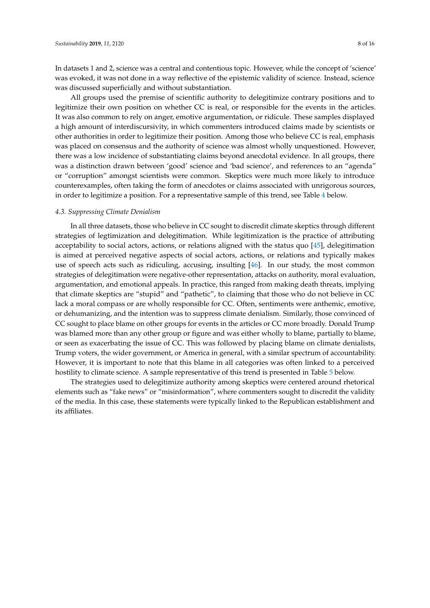In datasets 1 and 2, science was a central and contentious topic. However, while the concept of 'science' was evoked, it was not done in a way reflective of the epistemic validity of science. Instead, science was discussed superficially and without substantiation.

All groups used the premise of scientific authority to delegitimize contrary positions and to legitimize their own position on whether CC is real, or responsible for the events in the articles. It was also common to rely on anger, emotive argumentation, or ridicule. These samples displayed a high amount of interdiscursivity, in which commenters introduced claims made by scientists or other authorities in order to legitimize their position. Among those who believe CC is real, emphasis was placed on consensus and the authority of science was almost wholly unquestioned. However, there was a low incidence of substantiating claims beyond anecdotal evidence. In all groups, there was a distinction drawn between 'good' science and 'bad science', and references to an "agenda" or "corruption" amongst scientists were common. Skeptics were much more likely to introduce counterexamples, often taking the form of anecdotes or claims associated with unrigorous sources, in order to legitimize a position. For a representative sample of this trend, see Table [4](#page-9-0) below.

#### *4.3. Suppressing Climate Denialism*

In all three datasets, those who believe in CC sought to discredit climate skeptics through different strategies of legtimization and delegitimation. While legitimization is the practice of attributing acceptability to social actors, actions, or relations aligned with the status quo [\[45\]](#page-15-0), delegitimation is aimed at perceived negative aspects of social actors, actions, or relations and typically makes use of speech acts such as ridiculing, accusing, insulting [\[46\]](#page-15-1). In our study, the most common strategies of delegitimation were negative-other representation, attacks on authority, moral evaluation, argumentation, and emotional appeals. In practice, this ranged from making death threats, implying that climate skeptics are "stupid" and "pathetic", to claiming that those who do not believe in CC lack a moral compass or are wholly responsible for CC. Often, sentiments were anthemic, emotive, or dehumanizing, and the intention was to suppress climate denialism. Similarly, those convinced of CC sought to place blame on other groups for events in the articles or CC more broadly. Donald Trump was blamed more than any other group or figure and was either wholly to blame, partially to blame, or seen as exacerbating the issue of CC. This was followed by placing blame on climate denialists, Trump voters, the wider government, or America in general, with a similar spectrum of accountability. However, it is important to note that this blame in all categories was often linked to a perceived hostility to climate science. A sample representative of this trend is presented in Table [5](#page-9-1) below.

The strategies used to delegitimize authority among skeptics were centered around rhetorical elements such as "fake news" or "misinformation", where commenters sought to discredit the validity of the media. In this case, these statements were typically linked to the Republican establishment and its affiliates.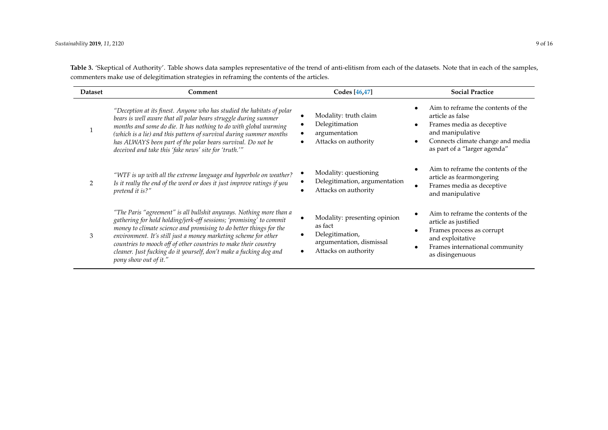<span id="page-8-0"></span>

| <b>Dataset</b> | Comment                                                                                                                                                                                                                                                                                                                                                                                                                                               | Codes [46,47]                                                                                                  | <b>Social Practice</b>                                                                                                                                                                                 |
|----------------|-------------------------------------------------------------------------------------------------------------------------------------------------------------------------------------------------------------------------------------------------------------------------------------------------------------------------------------------------------------------------------------------------------------------------------------------------------|----------------------------------------------------------------------------------------------------------------|--------------------------------------------------------------------------------------------------------------------------------------------------------------------------------------------------------|
|                | "Deception at its finest. Anyone who has studied the habitats of polar<br>bears is well aware that all polar bears struggle during summer<br>months and some do die. It has nothing to do with global warming<br>(which is a lie) and this pattern of survival during summer months<br>has ALWAYS been part of the polar bears survival. Do not be<br>deceived and take this 'fake news' site for 'truth.'"                                           | Modality: truth claim<br>Delegitimation<br>argumentation<br>Attacks on authority                               | Aim to reframe the contents of the<br>article as false<br>Frames media as deceptive<br>$\bullet$<br>and manipulative<br>Connects climate change and media<br>$\bullet$<br>as part of a "larger agenda" |
| $\mathcal{P}$  | "WTF is up with all the extreme language and hyperbole on weather?<br>Is it really the end of the word or does it just improve ratings if you<br>pretend it is?"                                                                                                                                                                                                                                                                                      | Modality: questioning<br>Delegitimation, argumentation<br>Attacks on authority                                 | Aim to reframe the contents of the<br>article as fearmongering<br>Frames media as deceptive<br>$\bullet$<br>and manipulative                                                                           |
| 3              | "The Paris "agreement" is all bullshit anyways. Nothing more than a<br>gathering for hold holding/jerk-off sessions; 'promising' to commit<br>money to climate science and promising to do better things for the<br>environment. It's still just a money marketing scheme for other<br>countries to mooch off of other countries to make their country<br>cleaner. Just fucking do it yourself, don't make a fucking dog and<br>pony show out of it." | Modality: presenting opinion<br>as fact<br>Delegitimation,<br>argumentation, dismissal<br>Attacks on authority | Aim to reframe the contents of the<br>article as justified<br>Frames process as corrupt<br>$\bullet$<br>and exploitative<br>Frames international community<br>$\bullet$<br>as disingenuous             |

**Table 3.** 'Skeptical of Authority'. Table shows data samples representative of the trend of anti-elitism from each of the datasets. Note that in each of the samples, commenters make use of delegitimation strategies in reframing the contents of the articles.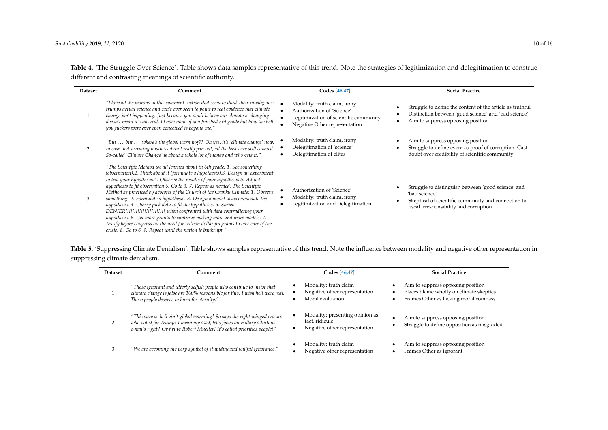**Table 4.** 'The Struggle Over Science'. Table shows data samples representative of this trend. Note the strategies of legitimization and delegitimation to construe different and contrasting meanings of scientific authority.

| <b>Dataset</b> | Comment                                                                                                                                                                                                                                                                                                                                                                                                                                                                                                                                                                                                                                                                                                                                                                                                                                                                                    | Codes [46,47]                                                                                                                         | <b>Social Practice</b>                                                                                                                                               |
|----------------|--------------------------------------------------------------------------------------------------------------------------------------------------------------------------------------------------------------------------------------------------------------------------------------------------------------------------------------------------------------------------------------------------------------------------------------------------------------------------------------------------------------------------------------------------------------------------------------------------------------------------------------------------------------------------------------------------------------------------------------------------------------------------------------------------------------------------------------------------------------------------------------------|---------------------------------------------------------------------------------------------------------------------------------------|----------------------------------------------------------------------------------------------------------------------------------------------------------------------|
|                | "I love all the morons in this comment section that seem to think their intelligence<br>trumps actual science and can't ever seem to point to real evidence that climate<br>change isn't happening. Just because you don't believe our climate is changing<br>doesn't mean it's not real. I know none of you finished 3rd grade but how the hell<br>you fuckers were ever even conceived is beyond me."                                                                                                                                                                                                                                                                                                                                                                                                                                                                                    | Modality: truth claim, irony<br>Authorization of 'Science'<br>Legitimization of scientific community<br>Negative Other representation | Struggle to define the content of the article as truthful<br>Distinction between 'good science' and 'bad science'<br>Aim to suppress opposing position               |
| 2              | "But  but  where's the global warming?? Oh yes, it's 'climate change' now,<br>in case that warming business didn't really pan out, all the bases are still covered.<br>So-called 'Climate Change' is about a whole lot of money and who gets it."                                                                                                                                                                                                                                                                                                                                                                                                                                                                                                                                                                                                                                          | Modality: truth claim, irony<br>Delegitimation of 'science'<br>Delegitimation of elites                                               | Aim to suppress opposing position<br>Struggle to define event as proof of corruption. Cast<br>doubt over credibility of scientific community                         |
| 3              | "The Scientific Method we all learned about in 6th grade: 1. See something<br>(observation).2. Think about it (formulate a hypothesis).3. Design an experiment<br>to test your hypothesis.4. Observe the results of your hypothesis.5. Adjust<br>hypothesis to fit observation.6. Go to 3. 7. Repeat as needed. The Scientific<br>Method as practiced by acolytes of the Church of the Cranky Climate: 1. Observe<br>something. 2. Formulate a hypothesis. 3. Design a model to accommodate the<br>hypothesis. 4. Cherry pick data to fit the hypothesis. 5. Shriek<br>DENIER!!!!!!!!!!!!!!!!!!!!!!!!!!! when confronted with data contradicting your<br>hypothesis. 6. Get more grants to continue making more and more models. 7.<br>Testify before congress on the need for trillion dollar programs to take care of the<br>crisis. 8. Go to 6.9. Repeat until the nation is bankrupt." | Authorization of 'Science'<br>Modality: truth claim, irony<br>Legitimization and Delegitimation                                       | Struggle to distinguish between 'good science' and<br>'bad science'<br>Skeptical of scientific community and connection to<br>fiscal irresponsibility and corruption |

<span id="page-9-0"></span>**Table 5.** 'Suppressing Climate Denialism'. Table shows samples representative of this trend. Note the influence between modality and negative other representation in suppressing climate denialism.

<span id="page-9-1"></span>

| <b>Dataset</b> | Comment                                                                                                                                                                                                                      | Codes [46.47]                                                                      | <b>Social Practice</b>                                                                                                                  |  |
|----------------|------------------------------------------------------------------------------------------------------------------------------------------------------------------------------------------------------------------------------|------------------------------------------------------------------------------------|-----------------------------------------------------------------------------------------------------------------------------------------|--|
|                | "Those ignorant and utterly selfish people who continue to insist that<br>climate change is false are 100% responsible for this. I wish hell were real.<br>Those people deserve to burn for eternity."                       | Modality: truth claim<br>Negative other representation<br>Moral evaluation         | Aim to suppress opposing position<br>٠<br>Places blame wholly on climate skeptics<br>$\bullet$<br>Frames Other as lacking moral compass |  |
|                | "This sure as hell ain't global warming! So says the right winged crazies<br>who voted for Trump! I mean my God, let's focus on Hillary Clintons<br>e-mails right? Or firing Robert Mueller! It's called priorities people!" | Modality: presenting opinion as<br>fact, ridicule<br>Negative other representation | Aim to suppress opposing position<br>Struggle to define opposition as misguided                                                         |  |
| 3              | "We are becoming the very symbol of stupidity and willful ignorance."                                                                                                                                                        | Modality: truth claim<br>Negative other representation                             | Aim to suppress opposing position<br>٠<br>Frames Other as ignorant<br>٠                                                                 |  |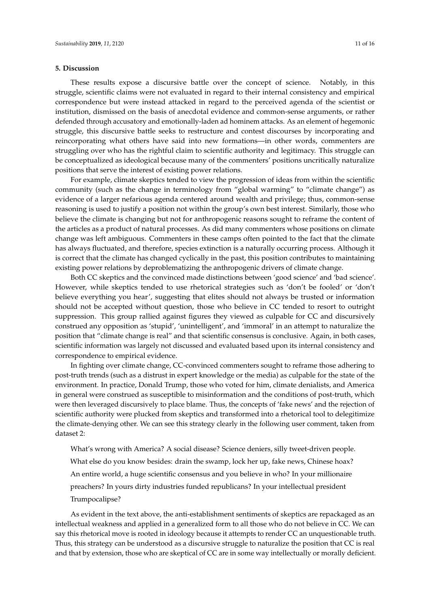#### **5. Discussion**

These results expose a discursive battle over the concept of science. Notably, in this struggle, scientific claims were not evaluated in regard to their internal consistency and empirical correspondence but were instead attacked in regard to the perceived agenda of the scientist or institution, dismissed on the basis of anecdotal evidence and common-sense arguments, or rather defended through accusatory and emotionally-laden ad hominem attacks. As an element of hegemonic struggle, this discursive battle seeks to restructure and contest discourses by incorporating and reincorporating what others have said into new formations—in other words, commenters are struggling over who has the rightful claim to scientific authority and legitimacy. This struggle can be conceptualized as ideological because many of the commenters' positions uncritically naturalize positions that serve the interest of existing power relations.

For example, climate skeptics tended to view the progression of ideas from within the scientific community (such as the change in terminology from "global warming" to "climate change") as evidence of a larger nefarious agenda centered around wealth and privilege; thus, common-sense reasoning is used to justify a position not within the group's own best interest. Similarly, those who believe the climate is changing but not for anthropogenic reasons sought to reframe the content of the articles as a product of natural processes. As did many commenters whose positions on climate change was left ambiguous. Commenters in these camps often pointed to the fact that the climate has always fluctuated, and therefore, species extinction is a naturally occurring process. Although it is correct that the climate has changed cyclically in the past, this position contributes to maintaining existing power relations by deproblematizing the anthropogenic drivers of climate change.

Both CC skeptics and the convinced made distinctions between 'good science' and 'bad science'. However, while skeptics tended to use rhetorical strategies such as 'don't be fooled' or 'don't believe everything you hear', suggesting that elites should not always be trusted or information should not be accepted without question, those who believe in CC tended to resort to outright suppression. This group rallied against figures they viewed as culpable for CC and discursively construed any opposition as 'stupid', 'unintelligent', and 'immoral' in an attempt to naturalize the position that "climate change is real" and that scientific consensus is conclusive. Again, in both cases, scientific information was largely not discussed and evaluated based upon its internal consistency and correspondence to empirical evidence.

In fighting over climate change, CC-convinced commenters sought to reframe those adhering to post-truth trends (such as a distrust in expert knowledge or the media) as culpable for the state of the environment. In practice, Donald Trump, those who voted for him, climate denialists, and America in general were construed as susceptible to misinformation and the conditions of post-truth, which were then leveraged discursively to place blame. Thus, the concepts of 'fake news' and the rejection of scientific authority were plucked from skeptics and transformed into a rhetorical tool to delegitimize the climate-denying other. We can see this strategy clearly in the following user comment, taken from dataset 2:

What's wrong with America? A social disease? Science deniers, silly tweet-driven people.

What else do you know besides: drain the swamp, lock her up, fake news, Chinese hoax? An entire world, a huge scientific consensus and you believe in who? In your millionaire preachers? In yours dirty industries funded republicans? In your intellectual president Trumpocalipse?

As evident in the text above, the anti-establishment sentiments of skeptics are repackaged as an intellectual weakness and applied in a generalized form to all those who do not believe in CC. We can say this rhetorical move is rooted in ideology because it attempts to render CC an unquestionable truth. Thus, this strategy can be understood as a discursive struggle to naturalize the position that CC is real and that by extension, those who are skeptical of CC are in some way intellectually or morally deficient.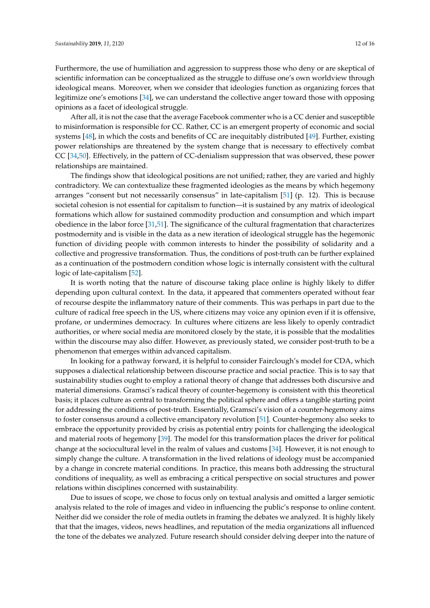Furthermore, the use of humiliation and aggression to suppress those who deny or are skeptical of scientific information can be conceptualized as the struggle to diffuse one's own worldview through ideological means. Moreover, when we consider that ideologies function as organizing forces that legitimize one's emotions [\[34\]](#page-14-12), we can understand the collective anger toward those with opposing opinions as a facet of ideological struggle.

After all, it is not the case that the average Facebook commenter who is a CC denier and susceptible to misinformation is responsible for CC. Rather, CC is an emergent property of economic and social systems [\[48\]](#page-15-4), in which the costs and benefits of CC are inequitably distributed [\[49\]](#page-15-5). Further, existing power relationships are threatened by the system change that is necessary to effectively combat CC [\[34](#page-14-12)[,50\]](#page-15-6). Effectively, in the pattern of CC-denialism suppression that was observed, these power relationships are maintained.

The findings show that ideological positions are not unified; rather, they are varied and highly contradictory. We can contextualize these fragmented ideologies as the means by which hegemony arranges "consent but not necessarily consensus" in late-capitalism [\[51\]](#page-15-7) (p. 12). This is because societal cohesion is not essential for capitalism to function—it is sustained by any matrix of ideological formations which allow for sustained commodity production and consumption and which impart obedience in the labor force [\[31,](#page-14-9)[51\]](#page-15-7). The significance of the cultural fragmentation that characterizes postmodernity and is visible in the data as a new iteration of ideological struggle has the hegemonic function of dividing people with common interests to hinder the possibility of solidarity and a collective and progressive transformation. Thus, the conditions of post-truth can be further explained as a continuation of the postmodern condition whose logic is internally consistent with the cultural logic of late-capitalism [\[52\]](#page-15-8).

It is worth noting that the nature of discourse taking place online is highly likely to differ depending upon cultural context. In the data, it appeared that commenters operated without fear of recourse despite the inflammatory nature of their comments. This was perhaps in part due to the culture of radical free speech in the US, where citizens may voice any opinion even if it is offensive, profane, or undermines democracy. In cultures where citizens are less likely to openly contradict authorities, or where social media are monitored closely by the state, it is possible that the modalities within the discourse may also differ. However, as previously stated, we consider post-truth to be a phenomenon that emerges within advanced capitalism.

In looking for a pathway forward, it is helpful to consider Fairclough's model for CDA, which supposes a dialectical relationship between discourse practice and social practice. This is to say that sustainability studies ought to employ a rational theory of change that addresses both discursive and material dimensions. Gramsci's radical theory of counter-hegemony is consistent with this theoretical basis; it places culture as central to transforming the political sphere and offers a tangible starting point for addressing the conditions of post-truth. Essentially, Gramsci's vision of a counter-hegemony aims to foster consensus around a collective emancipatory revolution [\[51\]](#page-15-7). Counter-hegemony also seeks to embrace the opportunity provided by crisis as potential entry points for challenging the ideological and material roots of hegemony [\[39\]](#page-14-17). The model for this transformation places the driver for political change at the sociocultural level in the realm of values and customs [\[34\]](#page-14-12). However, it is not enough to simply change the culture. A transformation in the lived relations of ideology must be accompanied by a change in concrete material conditions. In practice, this means both addressing the structural conditions of inequality, as well as embracing a critical perspective on social structures and power relations within disciplines concerned with sustainability.

Due to issues of scope, we chose to focus only on textual analysis and omitted a larger semiotic analysis related to the role of images and video in influencing the public's response to online content. Neither did we consider the role of media outlets in framing the debates we analyzed. It is highly likely that that the images, videos, news headlines, and reputation of the media organizations all influenced the tone of the debates we analyzed. Future research should consider delving deeper into the nature of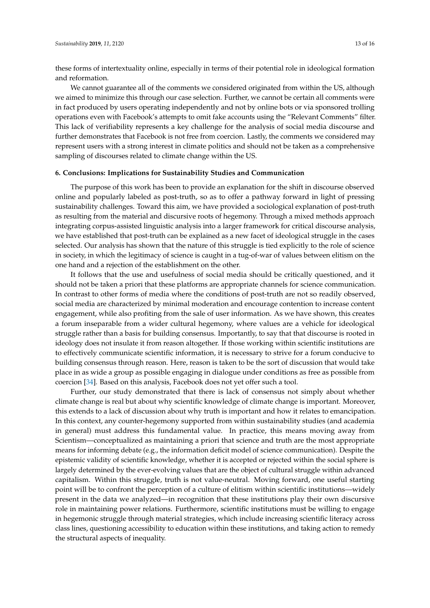these forms of intertextuality online, especially in terms of their potential role in ideological formation and reformation.

We cannot guarantee all of the comments we considered originated from within the US, although we aimed to minimize this through our case selection. Further, we cannot be certain all comments were in fact produced by users operating independently and not by online bots or via sponsored trolling operations even with Facebook's attempts to omit fake accounts using the "Relevant Comments" filter. This lack of verifiability represents a key challenge for the analysis of social media discourse and further demonstrates that Facebook is not free from coercion. Lastly, the comments we considered may represent users with a strong interest in climate politics and should not be taken as a comprehensive sampling of discourses related to climate change within the US.

#### **6. Conclusions: Implications for Sustainability Studies and Communication**

The purpose of this work has been to provide an explanation for the shift in discourse observed online and popularly labeled as post-truth, so as to offer a pathway forward in light of pressing sustainability challenges. Toward this aim, we have provided a sociological explanation of post-truth as resulting from the material and discursive roots of hegemony. Through a mixed methods approach integrating corpus-assisted linguistic analysis into a larger framework for critical discourse analysis, we have established that post-truth can be explained as a new facet of ideological struggle in the cases selected. Our analysis has shown that the nature of this struggle is tied explicitly to the role of science in society, in which the legitimacy of science is caught in a tug-of-war of values between elitism on the one hand and a rejection of the establishment on the other.

It follows that the use and usefulness of social media should be critically questioned, and it should not be taken a priori that these platforms are appropriate channels for science communication. In contrast to other forms of media where the conditions of post-truth are not so readily observed, social media are characterized by minimal moderation and encourage contention to increase content engagement, while also profiting from the sale of user information. As we have shown, this creates a forum inseparable from a wider cultural hegemony, where values are a vehicle for ideological struggle rather than a basis for building consensus. Importantly, to say that that discourse is rooted in ideology does not insulate it from reason altogether. If those working within scientific institutions are to effectively communicate scientific information, it is necessary to strive for a forum conducive to building consensus through reason. Here, reason is taken to be the sort of discussion that would take place in as wide a group as possible engaging in dialogue under conditions as free as possible from coercion [\[34\]](#page-14-12). Based on this analysis, Facebook does not yet offer such a tool.

Further, our study demonstrated that there is lack of consensus not simply about whether climate change is real but about why scientific knowledge of climate change is important. Moreover, this extends to a lack of discussion about why truth is important and how it relates to emancipation. In this context, any counter-hegemony supported from within sustainability studies (and academia in general) must address this fundamental value. In practice, this means moving away from Scientism—conceptualized as maintaining a priori that science and truth are the most appropriate means for informing debate (e.g., the information deficit model of science communication). Despite the epistemic validity of scientific knowledge, whether it is accepted or rejected within the social sphere is largely determined by the ever-evolving values that are the object of cultural struggle within advanced capitalism. Within this struggle, truth is not value-neutral. Moving forward, one useful starting point will be to confront the perception of a culture of elitism within scientific institutions—widely present in the data we analyzed—in recognition that these institutions play their own discursive role in maintaining power relations. Furthermore, scientific institutions must be willing to engage in hegemonic struggle through material strategies, which include increasing scientific literacy across class lines, questioning accessibility to education within these institutions, and taking action to remedy the structural aspects of inequality.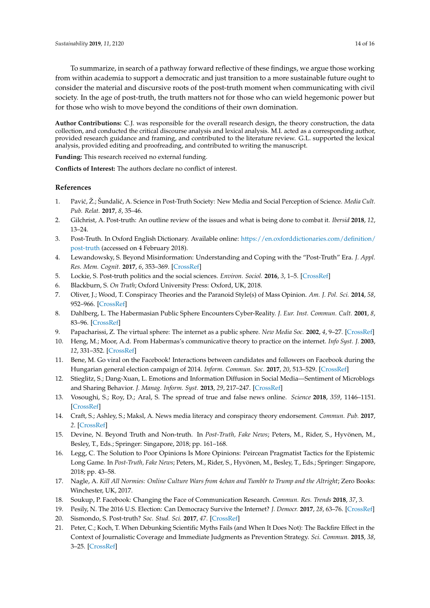To summarize, in search of a pathway forward reflective of these findings, we argue those working from within academia to support a democratic and just transition to a more sustainable future ought to consider the material and discursive roots of the post-truth moment when communicating with civil society. In the age of post-truth, the truth matters not for those who can wield hegemonic power but for those who wish to move beyond the conditions of their own domination.

**Author Contributions:** C.J. was responsible for the overall research design, the theory construction, the data collection, and conducted the critical discourse analysis and lexical analysis. M.I. acted as a corresponding author, provided research guidance and framing, and contributed to the literature review. G.L. supported the lexical analysis, provided editing and proofreading, and contributed to writing the manuscript.

**Funding:** This research received no external funding.

**Conflicts of Interest:** The authors declare no conflict of interest.

### **References**

- <span id="page-13-0"></span>1. Pavi´c, Ž.; Šundali´c, A. Science in Post-Truth Society: New Media and Social Perception of Science. *Media Cult. Pub. Relat.* **2017**, *8*, 35–46.
- <span id="page-13-1"></span>2. Gilchrist, A. Post-truth: An outline review of the issues and what is being done to combat it. *Ibersid* **2018**, *12*, 13–24.
- <span id="page-13-2"></span>3. Post-Truth. In Oxford English Dictionary. Available online: [https://en.oxforddictionaries.com/definition/](https://en.oxforddictionaries.com/definition/post-truth) [post-truth](https://en.oxforddictionaries.com/definition/post-truth) (accessed on 4 February 2018).
- <span id="page-13-3"></span>4. Lewandowsky, S. Beyond Misinformation: Understanding and Coping with the "Post-Truth" Era. *J. Appl. Res. Mem. Cognit.* **2017**, *6*, 353–369. [\[CrossRef\]](http://dx.doi.org/10.1016/j.jarmac.2017.07.008)
- <span id="page-13-4"></span>5. Lockie, S. Post-truth politics and the social sciences. *Environ. Sociol.* **2016**, *3*, 1–5. [\[CrossRef\]](http://dx.doi.org/10.1080/23251042.2016.1273444)
- <span id="page-13-5"></span>6. Blackburn, S. *On Truth*; Oxford University Press: Oxford, UK, 2018.
- <span id="page-13-6"></span>7. Oliver, J.; Wood, T. Conspiracy Theories and the Paranoid Style(s) of Mass Opinion. *Am. J. Pol. Sci.* **2014**, *58*, 952–966. [\[CrossRef\]](http://dx.doi.org/10.1111/ajps.12084)
- <span id="page-13-7"></span>8. Dahlberg, L. The Habermasian Public Sphere Encounters Cyber-Reality. *J. Eur. Inst. Commun. Cult.* **2001**, *8*, 83–96. [\[CrossRef\]](http://dx.doi.org/10.1080/13183222.2001.11008782)
- 9. Papacharissi, Z. The virtual sphere: The internet as a public sphere. *New Media Soc.* **2002**, *4*, 9–27. [\[CrossRef\]](http://dx.doi.org/10.1177/14614440222226244)
- <span id="page-13-8"></span>10. Heng, M.; Moor, A.d. From Habermas's communicative theory to practice on the internet. *Info Syst. J.* **2003**, *12*, 331–352. [\[CrossRef\]](http://dx.doi.org/10.1046/j.1365-2575.2003.00144.x)
- <span id="page-13-9"></span>11. Bene, M. Go viral on the Facebook! Interactions between candidates and followers on Facebook during the Hungarian general election campaign of 2014. *Inform. Commun. Soc.* **2017**, *20*, 513–529. [\[CrossRef\]](http://dx.doi.org/10.1080/1369118X.2016.1198411)
- <span id="page-13-10"></span>12. Stieglitz, S.; Dang-Xuan, L. Emotions and Information Diffusion in Social Media—Sentiment of Microblogs and Sharing Behavior. *J. Manag. Inform. Syst.* **2013**, *29*, 217–247. [\[CrossRef\]](http://dx.doi.org/10.2753/MIS0742-1222290408)
- <span id="page-13-11"></span>13. Vosoughi, S.; Roy, D.; Aral, S. The spread of true and false news online. *Science* **2018**, *359*, 1146–1151. [\[CrossRef\]](http://dx.doi.org/10.1126/science.aap9559)
- <span id="page-13-12"></span>14. Craft, S.; Ashley, S.; Maksl, A. News media literacy and conspiracy theory endorsement. *Commun. Pub.* **2017**, *2*. [\[CrossRef\]](http://dx.doi.org/10.1177/2057047317725539)
- <span id="page-13-13"></span>15. Devine, N. Beyond Truth and Non-truth. In *Post-Truth, Fake News*; Peters, M., Rider, S., Hyvönen, M., Besley, T., Eds.; Springer: Singapore, 2018; pp. 161–168.
- <span id="page-13-14"></span>16. Legg, C. The Solution to Poor Opinions Is More Opinions: Peircean Pragmatist Tactics for the Epistemic Long Game. In *Post-Truth, Fake News*; Peters, M., Rider, S., Hyvönen, M., Besley, T., Eds.; Springer: Singapore, 2018; pp. 43–58.
- <span id="page-13-15"></span>17. Nagle, A. *Kill All Normies: Online Culture Wars from 4chan and Tumblr to Trump and the Altright*; Zero Books: Winchester, UK, 2017.
- <span id="page-13-16"></span>18. Soukup, P. Facebook: Changing the Face of Communication Research. *Commun. Res. Trends* **2018**, *37*, 3.
- <span id="page-13-17"></span>19. Pesily, N. The 2016 U.S. Election: Can Democracy Survive the Internet? *J. Democr.* **2017**, *28*, 63–76. [\[CrossRef\]](http://dx.doi.org/10.1353/jod.2017.0025)
- <span id="page-13-18"></span>20. Sismondo, S. Post-truth? *Soc. Stud. Sci.* **2017**, *47*. [\[CrossRef\]](http://dx.doi.org/10.1177/0306312717692076)
- <span id="page-13-19"></span>21. Peter, C.; Koch, T. When Debunking Scientific Myths Fails (and When It Does Not): The Backfire Effect in the Context of Journalistic Coverage and Immediate Judgments as Prevention Strategy. *Sci. Commun.* **2015**, *38*, 3–25. [\[CrossRef\]](http://dx.doi.org/10.1177/1075547015613523)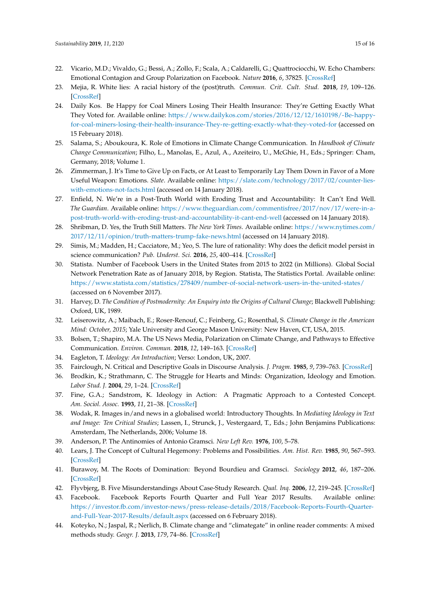- <span id="page-14-0"></span>22. Vicario, M.D.; Vivaldo, G.; Bessi, A.; Zollo, F.; Scala, A.; Caldarelli, G.; Quattrociocchi, W. Echo Chambers: Emotional Contagion and Group Polarization on Facebook. *Nature* **2016**, *6*, 37825. [\[CrossRef\]](http://dx.doi.org/10.1038/srep37825)
- <span id="page-14-1"></span>23. Mejia, R. White lies: A racial history of the (post)truth. *Commun. Crit. Cult. Stud.* **2018**, *19*, 109–126. [\[CrossRef\]](http://dx.doi.org/10.1080/14791420.2018.1456668)
- <span id="page-14-2"></span>24. Daily Kos. Be Happy for Coal Miners Losing Their Health Insurance: They're Getting Exactly What They Voted for. Available online: [https://www.dailykos.com/stories/2016/12/12/1610198/-Be-happy](https://www.dailykos.com/stories/2016/12/12/1610198/-Be-happy-for-coal-miners-losing-their-health-insurance-They-re-getting-exactly-what-they-voted-for)[for-coal-miners-losing-their-health-insurance-They-re-getting-exactly-what-they-voted-for](https://www.dailykos.com/stories/2016/12/12/1610198/-Be-happy-for-coal-miners-losing-their-health-insurance-They-re-getting-exactly-what-they-voted-for) (accessed on 15 February 2018).
- <span id="page-14-3"></span>25. Salama, S.; Aboukoura, K. Role of Emotions in Climate Change Communication. In *Handbook of Climate Change Communication*; Filho, L., Manolas, E., Azul, A., Azeiteiro, U., McGhie, H., Eds.; Springer: Cham, Germany, 2018; Volume 1.
- <span id="page-14-4"></span>26. Zimmerman, J. It's Time to Give Up on Facts, or At Least to Temporarily Lay Them Down in Favor of a More Useful Weapon: Emotions. *Slate*. Available online: [https://slate.com/technology/2017/02/counter-lies](https://slate.com/technology/2017/02/counter-lies-with-emotions-not-facts.html)[with-emotions-not-facts.html](https://slate.com/technology/2017/02/counter-lies-with-emotions-not-facts.html) (accessed on 14 January 2018).
- <span id="page-14-5"></span>27. Enfield, N. We're in a Post-Truth World with Eroding Trust and Accountability: It Can't End Well. *The Guardian*. Available online: [https://www.theguardian.com/commentisfree/2017/nov/17/were-in-a](https://www.theguardian.com/commentisfree/2017/nov/17/were-in-a-post-truth-world-with-eroding-trust-and-accountability-it-cant-end-well)[post-truth-world-with-eroding-trust-and-accountability-it-cant-end-well](https://www.theguardian.com/commentisfree/2017/nov/17/were-in-a-post-truth-world-with-eroding-trust-and-accountability-it-cant-end-well) (accessed on 14 January 2018).
- <span id="page-14-6"></span>28. Shribman, D. Yes, the Truth Still Matters. *The New York Times*. Available online: [https://www.nytimes.com/](https://www.nytimes.com/2017/12/11/opinion/truth-matters-trump-fake-news.html) [2017/12/11/opinion/truth-matters-trump-fake-news.html](https://www.nytimes.com/2017/12/11/opinion/truth-matters-trump-fake-news.html) (accessed on 14 January 2018).
- <span id="page-14-7"></span>29. Simis, M.; Madden, H.; Cacciatore, M.; Yeo, S. The lure of rationality: Why does the deficit model persist in science communication? *Pub. Underst. Sci.* **2016**, *25*, 400–414. [\[CrossRef\]](http://dx.doi.org/10.1177/0963662516629749)
- <span id="page-14-8"></span>30. Statista. Number of Facebook Users in the United States from 2015 to 2022 (in Millions). Global Social Network Penetration Rate as of January 2018, by Region. Statista, The Statistics Portal. Available online: <https://www.statista.com/statistics/278409/number-of-social-network-users-in-the-united-states/> (accessed on 6 November 2017).
- <span id="page-14-9"></span>31. Harvey, D. *The Condition of Postmodernity: An Enquiry into the Origins of Cultural Change*; Blackwell Publishing: Oxford, UK, 1989.
- <span id="page-14-10"></span>32. Leiserowitz, A.; Maibach, E.; Roser-Renouf, C.; Feinberg, G.; Rosenthal, S. *Climate Change in the American Mind: October, 2015*; Yale University and George Mason University: New Haven, CT, USA, 2015.
- <span id="page-14-11"></span>33. Bolsen, T.; Shapiro, M.A. The US News Media, Polarization on Climate Change, and Pathways to Effective Communication. *Environ. Commun.* **2018**, *12*, 149–163. [\[CrossRef\]](http://dx.doi.org/10.1080/17524032.2017.1397039)
- <span id="page-14-12"></span>34. Eagleton, T. *Ideology: An Introduction*; Verso: London, UK, 2007.
- <span id="page-14-13"></span>35. Fairclough, N. Critical and Descriptive Goals in Discourse Analysis. *J. Pragm.* **1985**, *9*, 739–763. [\[CrossRef\]](http://dx.doi.org/10.1016/0378-2166(85)90002-5)
- <span id="page-14-14"></span>36. Brodkin, K.; Strathmann, C. The Struggle for Hearts and Minds: Organization, Ideology and Emotion. *Labor Stud. J.* **2004**, *29*, 1–24. [\[CrossRef\]](http://dx.doi.org/10.1177/0160449X0402900301)
- <span id="page-14-16"></span>37. Fine, G.A.; Sandstrom, K. Ideology in Action: A Pragmatic Approach to a Contested Concept. *Am. Sociol. Assoc.* **1993**, *11*, 21–38. [\[CrossRef\]](http://dx.doi.org/10.2307/201978)
- <span id="page-14-15"></span>38. Wodak, R. Images in/and news in a globalised world: Introductory Thoughts. In *Mediating Ideology in Text and Image: Ten Critical Studies*; Lassen, I., Strunck, J., Vestergaard, T., Eds.; John Benjamins Publications: Amsterdam, The Netherlands, 2006; Volume 18.
- <span id="page-14-17"></span>39. Anderson, P. The Antinomies of Antonio Gramsci. *New Left Rev.* **1976**, *100*, 5–78.
- <span id="page-14-18"></span>40. Lears, J. The Concept of Cultural Hegemony: Problems and Possibilities. *Am. Hist. Rev.* **1985**, *90*, 567–593. [\[CrossRef\]](http://dx.doi.org/10.2307/1860957)
- <span id="page-14-19"></span>41. Burawoy, M. The Roots of Domination: Beyond Bourdieu and Gramsci. *Sociology* **2012**, *46*, 187–206. [\[CrossRef\]](http://dx.doi.org/10.1177/0038038511422725)
- <span id="page-14-20"></span>42. Flyvbjerg, B. Five Misunderstandings About Case-Study Research. *Qual. Inq.* **2006**, *12*, 219–245. [\[CrossRef\]](http://dx.doi.org/10.1177/1077800405284363)
- <span id="page-14-21"></span>43. Facebook. Facebook Reports Fourth Quarter and Full Year 2017 Results. Available online: [https://investor.fb.com/investor-news/press-release-details/2018/Facebook-Reports-Fourth-Quarter](https://investor.fb.com/investor-news/press-release-details/2018/Facebook-Reports-Fourth-Quarter-and-Full-Year-2017-Results/default.aspx)[and-Full-Year-2017-Results/default.aspx](https://investor.fb.com/investor-news/press-release-details/2018/Facebook-Reports-Fourth-Quarter-and-Full-Year-2017-Results/default.aspx) (accessed on 6 February 2018).
- <span id="page-14-22"></span>44. Koteyko, N.; Jaspal, R.; Nerlich, B. Climate change and "climategate" in online reader comments: A mixed methods study. *Geogr. J.* **2013**, *179*, 74–86. [\[CrossRef\]](http://dx.doi.org/10.1111/j.1475-4959.2012.00479.x)